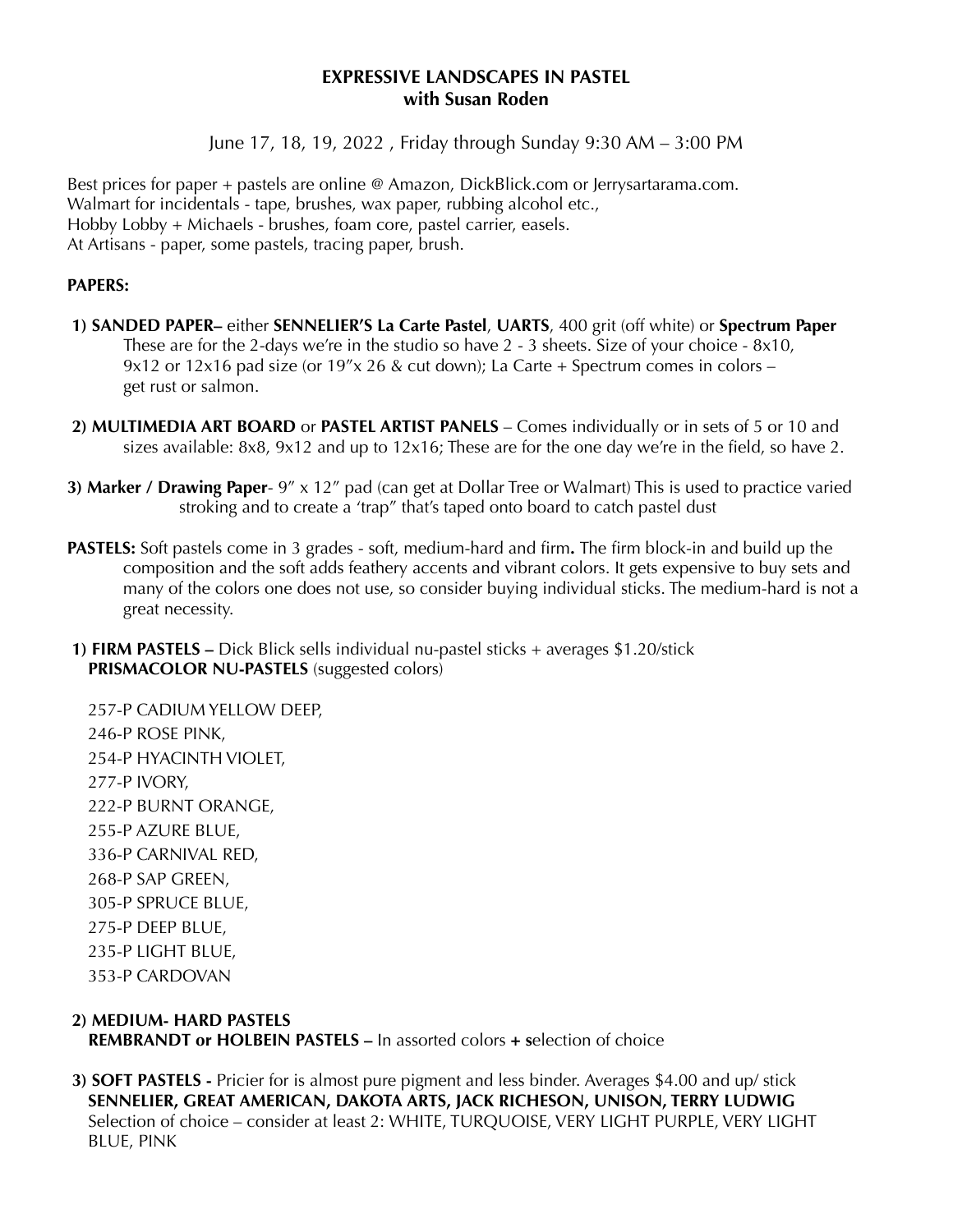#### **EXPRESSIVE LANDSCAPES IN PASTEL with Susan Roden**

June 17, 18, 19, 2022 , Friday through Sunday 9:30 AM – 3:00 PM

Best prices for paper + pastels are online @ Amazon, DickBlick.com or Jerrysartarama.com. Walmart for incidentals - tape, brushes, wax paper, rubbing alcohol etc., Hobby Lobby + Michaels - brushes, foam core, pastel carrier, easels. At Artisans - paper, some pastels, tracing paper, brush.

#### **PAPERS:**

- **1) SANDED PAPER–** either **SENNELIER'S La Carte Pastel**, **UARTS**, 400 grit (off white) or **Spectrum Paper** These are for the 2-days we're in the studio so have 2 - 3 sheets. Size of your choice - 8x10, 9x12 or 12x16 pad size (or  $19''x$  26 & cut down); La Carte + Spectrum comes in colors – get rust or salmon.
- **2) MULTIMEDIA ART BOARD** or **PASTEL ARTIST PANELS** Comes individually or in sets of 5 or 10 and sizes available: 8x8, 9x12 and up to 12x16; These are for the one day we're in the field, so have 2.
- **3) Marker / Drawing Paper** 9" x 12" pad (can get at Dollar Tree or Walmart) This is used to practice varied stroking and to create a 'trap" that's taped onto board to catch pastel dust
- **PASTELS:** Soft pastels come in 3 grades soft, medium-hard and firm**.** The firm block-in and build up the composition and the soft adds feathery accents and vibrant colors. It gets expensive to buy sets and many of the colors one does not use, so consider buying individual sticks. The medium-hard is not a great necessity.
- **1) FIRM PASTELS** Dick Blick sells individual nu-pastel sticks + averages \$1.20/stick **PRISMACOLOR NU-PASTELS** (suggested colors)

257-P CADIUM YELLOW DEEP, 246-P ROSE PINK, 254-P HYACINTH VIOLET, 277-P IVORY, 222-P BURNT ORANGE, 255-P AZURE BLUE, 336-P CARNIVAL RED, 268-P SAP GREEN, 305-P SPRUCE BLUE, 275-P DEEP BLUE, 235-P LIGHT BLUE, 353-P CARDOVAN

# **2) MEDIUM- HARD PASTELS**

**REMBRANDT or HOLBEIN PASTELS –** In assorted colors **+ s**election of choice

 **3) SOFT PASTELS -** Pricier for is almost pure pigment and less binder. Averages \$4.00 and up/ stick **SENNELIER, GREAT AMERICAN, DAKOTA ARTS, JACK RICHESON, UNISON, TERRY LUDWIG** Selection of choice – consider at least 2: WHITE, TURQUOISE, VERY LIGHT PURPLE, VERY LIGHT BLUE, PINK